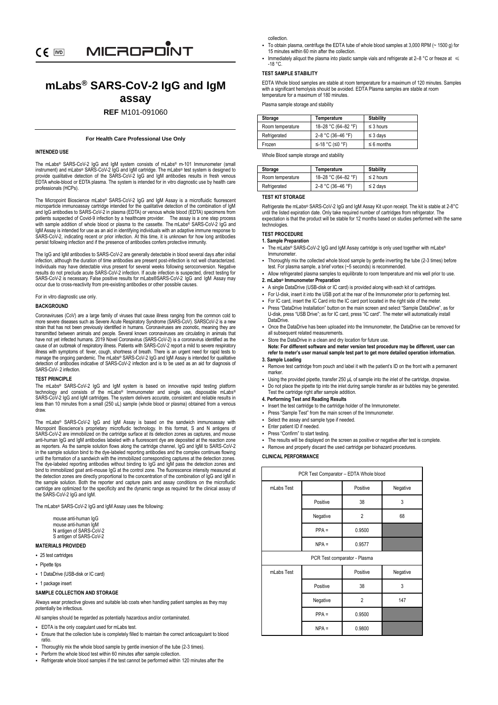# **mLabs® SARS-CoV-2 IgG and IgM assay**

# **REF** M101-091060

# **For Health Care Professional Use Only**

# **INTENDED USE**

The mLabs® SARS-CoV-2 IgG and IgM system consists of mLabs® m-101 Immunometer (small instrument) and mLabs® SARS-CoV-2 IgG and IgM cartridge. The mLabs® test system is designed to provide qualitative detection of the SARS-CoV-2 IgG and IgM antibodies results in fresh venous EDTA whole-blood or EDTA plasma. The system is intended for in vitro diagnostic use by health care professionals (HCPs).

The Micropoint Bioscience mLabs® SARS-CoV-2 IgG and IgM Assay is a microfluidic fluorescent microparticle immunoassay cartridge intended for the qualitative detection of the combination of IgM and IgG antibodies to SARS-CoV-2 in plasma (EDTA) or venous whole blood (EDTA) specimens from patients suspected of Covid-9 infection by a healthcare provider. The assay is a one step process with sample addition of whole blood or plasma to the cassette. The mLabs® SARS-CoV-2 IgG and IgM Assay is intended for use as an aid in identifying individuals with an adaptive immune response to SARS-CoV-2, indicating recent or prior infection. At this time, it is unknown for how long antibodies persist following infection and if the presence of antibodies confers protective immunity.

The IgG and IgM antibodies to SARS-CoV-2 are generally detectable in blood several days after initial infection, although the duration of time antibodies are present post-infection is not well characterized. Individuals may have detectable virus present for several weeks following seroconversion. Negative results do not preclude acute SARS-CoV-2 infection. If acute infection is suspected, direct testing for SARS-CoV-2 is necessary. False positive results for mLabs® SARS-CoV-2 IgG and IgM Assay may occur due to cross-reactivity from pre-existing antibodies or other possible causes.

For in vitro diagnostic use only.

# **BACKGROUND**

Coronaviruses (CoV) are a large family of viruses that cause illness ranging from the common cold to more severe diseases such as Severe Acute Respiratory Syndrome (SARS-CoV). SARSCoV-2 is a new strain that has not been previously identified in humans. Coronaviruses are zoonotic, meaning they are transmitted between animals and people. Several known coronaviruses are circulating in animals that is that is and people. Several known coronaviruses are circulating in animals have not yet infected humans. 2019 Novel Coronavirus (SARS-CoV-2) is a coronavirus identified as the cause of an outbreak of respiratory illness. Patients with SARS-CoV-2 report a mild to severe respiratory illness with symptoms of: fever, cough, shortness of breath. There is an urgent need for rapid tests to<br>manage the ongoing pandemic. The mLabs® SARS-CoV-2 IgG and IgM Assay is intended for qualitative<br>detection of antibod SARS-CoV- 2 infection.

# **TEST PRINCIPLE**

The mLabs® SARS-CoV-2 IgG and IgM system is based on innovative rapid testing platform<br>technology and consists of the mLabs® Immunometer and single use, disposable mLabs®<br>SARS-CoV-2IgG and IgM cartridges. The system deliv less than 10 minutes from a small (250 uL) sample (whole blood or plasma) obtained from a venous draw.

The mLabs® SARS-CoV-2 IgG and IgM Assay is based on the sandwich immunoassay with Micropoint Bioscience's proprietary microfludic technology. In this format, S and N antigens of SARS-CoV-2 are immobilized on the cartridge surface at its detection zones as captures, and mouse anti-human IgG and IgM antibodies labeled with a fluorescent dye are deposited at the reaction zone as reporters. As the sample solution flows along the cartridge channel, IgG and IgM to SARS-CoV-2 in the sample solution bind to the dye-labeled reporting antibodies and the complex continues flowing until the formation of a sandwich with the immobilized corresponding captures at the detection zones. The dye-labeled reporting antibodies without binding to IgG and IgM pass the detection zones and bind to immobilized goat anti-mouse IgG at the control zone. The fluorescence intensity measured at the detection zones are directly proportional to the concentration of the combination of IgG and IgM in the sample solution. Both the reporter and capture pairs and assay conditions on the microfludic cartridge are optimized for the specificity and the dynamic range as required for the clinical assay of the SARS-CoV-2 IgG and IgM.

The mLabs® SARS-CoV-2 IgG and IgM Assay uses the following:

| mouse anti-human IgG    |
|-------------------------|
| mouse anti-human IqM    |
| N antigen of SARS-CoV-2 |
| S antigen of SARS-CoV-2 |

# **MATERIALS PROVIDED**

- 25 test cartridges
- Pipette tips
- 1 DataDrive (USB-disk or IC card)
- 1 package insert

# **SAMPLE COLLECTION AND STORAGE**

Always wear protective gloves and suitable lab coats when handling patient samples as they may potentially be infectious.

All samples should be regarded as potentially hazardous and/or contaminated.

• EDTA is the only coagulant used for mLabs test.

- Ensure that the collection tube is completely filled to maintain the correct anticoagulant to blood ratio.
- Thoroughly mix the whole blood sample by gentle inversion of the tube (2-3 times).
- Perform the whole blood test within 60 minutes after sample collection.
- Refrigerate whole blood samples if the test cannot be performed within 120 minutes after the

collection.

- To obtain plasma, centrifuge the EDTA tube of whole blood samples at 3,000 RPM (~ 1500 g) for 15 minutes within 60 min after the collection.
- Immediately aliquot the plasma into plastic sample vials and refrigerate at 2–8 °C or freeze at ≤<br>-18 °C.

# **TEST SAMPLE STABILITY**

EDTA Whole blood samples are stable at room temperature for a maximum of 120 minutes. Samples with a significant hemolysis should be avoided. EDTA Plasma samples are stable at room temperature for a maximum of 180 minutes.

Plasma sample storage and stability

|  | Storage          | Temperature         | <b>Stability</b> |
|--|------------------|---------------------|------------------|
|  | Room temperature | 18-28 °C (64-82 °F) | $\leq$ 3 hours   |
|  | Refrigerated     | 2-8 °C (36-46 °F)   | $\leq$ 3 days    |
|  | Frozen           | ≤-18 °C (≤0 °F)     | $\leq 6$ months  |

Whole Blood sample storage and stability

| Storage          | Temperature         | <b>Stability</b> |
|------------------|---------------------|------------------|
| Room temperature | 18-28 °C (64-82 °F) | $\leq$ 2 hours   |
| Refrigerated     | 2-8 °C (36-46 °F)   | $\leq$ 2 days    |

# **TEST KIT STORAGE**

Refrigerate the mLabs® SARS-CoV-2 IgG and IgM Assay Kit upon receipt. The kit is stable at 2-8°C until the listed expiration date. Only take required number of cartridges from refrigerator. The expectation is that the product will be stable for 12 months based on studies performed with the same technologies.

# **TEST PROCEDURE**

#### **1. Sample Preparation**

- The mLabs® SARS-CoV-2 IgG and IgM Assay cartridge is only used together with mLabs® Immunometer.
- Thoroughly mix the collected whole blood sample by gentle inverting the tube (2-3 times) before test. For plasma sample, a brief vortex (~5 seconds) is recommended.
- Allow refrigerated plasma samples to equilibrate to room temperature and mix well prior to use. **2. mLabs® Immunometer Preparation**
- A single DataDrive (USB-disk or IC card) is provided along with each kit of cartridges.
- For U-disk, insert it into the USB port at the rear of the Immunometer prior to performing test.
- For IC card, insert the IC Card into the IC card port located in the right side of the meter.
- Press "DataDrive Installation" button on the main screen and select "Sample DataDrive", as for U-disk, press "USB Drive"; as for IC card, press "IC card". The meter will automatically install DataDrive.
- Once the DataDrive has been uploaded into the Immunometer, the DataDrive can be removed for all subsequent related measurements.
- Store the DataDrive in a clean and dry location for future use. **Note: For different software and meter version test procedure may be different, user can refer to meter's user manual sample test part to get more detailed operation information.**

# **3. Sample Loading**

- Remove test cartridge from pouch and label it with the patient's ID on the front with a permanent marker.
- Using the provided pipette, transfer 250 μL of sample into the inlet of the cartridge, dropwise. • Do not place the pipette tip into the inlet during sample transfer as air bubbles may be generated.

# Test the cartridge right after sample addition. **4. Performing Test and Reading Results**

- Insert the test cartridge to the cartridge holder of the Immunometer.
- Press "Sample Test" from the main screen of the Immunometer
- Select the assay and sample type if needed.
- Enter patient ID if needed.
- Press "Confirm" to start testing.
- The results will be displayed on the screen as positive or negative after test is complete.
- Remove and properly discard the used cartridge per biohazard procedures.

#### **CLINICAL PERFORMANCE**

| PCR Test Comparator - EDTA Whole blood |          |                |          |
|----------------------------------------|----------|----------------|----------|
| mLabs Test                             |          | Positive       | Negative |
|                                        | Positive | 38             | 3        |
|                                        | Negative | $\overline{2}$ | 68       |
|                                        | $PPA =$  | 0.9500         |          |
|                                        | $NPA =$  | 0.9577         |          |
| PCR Test comparator - Plasma           |          |                |          |
| mLabs Test                             |          | Positive       | Negative |
|                                        | Positive | 38             | 3        |
|                                        | Negative | $\overline{2}$ | 147      |
|                                        | $PPA =$  | 0.9500         |          |
|                                        | $NPA =$  | 0.9800         |          |